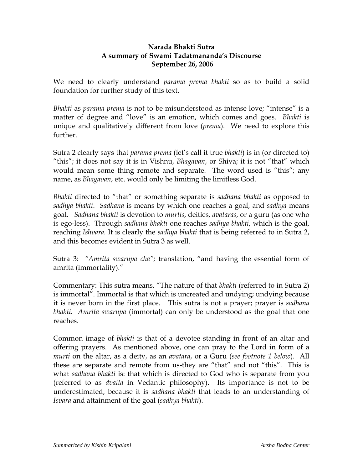## **Narada Bhakti Sutra A summary of Swami Tadatmananda's Discourse September 26, 2006**

We need to clearly understand *parama prema bhakti* so as to build a solid foundation for further study of this text.

*Bhakti* as *parama prema* is not to be misunderstood as intense love; "intense" is a matter of degree and "love" is an emotion, which comes and goes. *Bhakti* is unique and qualitatively different from love (*prema*). We need to explore this further.

Sutra 2 clearly says that *parama prema* (let's call it true *bhakti*) is in (or directed to) "this"; it does not say it is in Vishnu, *Bhagavan*, or Shiva; it is not "that" which would mean some thing remote and separate. The word used is "this"; any name, as *Bhagavan*, etc. would only be limiting the limitless God.

*Bhakti* directed to "that" or something separate is *sadhana bhakti* as opposed to *sadhya bhakti*. *Sadhana* is means by which one reaches a goal, and *sadhya* means goal. *Sadhana bhakti* is devotion to *murtis*, deities, *avataras*, or a guru (as one who is ego-less). Through *sadhana bhakti* one reaches *sadhya bhakti*, which is the goal, reaching *Ishvara.* It is clearly the *sadhya bhakti* that is being referred to in Sutra 2, and this becomes evident in Sutra 3 as well.

Sutra 3: *"Amrita swarupa cha";* translation, "and having the essential form of amrita (immortality)."

Commentary: This sutra means, "The nature of that *bhakti* (referred to in Sutra 2) is immortal". Immortal is that which is uncreated and undying; undying because it is never born in the first place. This sutra is not a prayer; prayer is *sadhana bhakti*. *Amrita swarupa* (immortal) can only be understood as the goal that one reaches.

Common image of *bhakti* is that of a devotee standing in front of an altar and offering prayers. As mentioned above, one can pray to the Lord in form of a *murti* on the altar, as a deity, as an *avatara*, or a Guru (*see footnote 1 below*). All these are separate and remote from us-they are "that" and not "this". This is what *sadhana bhakti* is: that which is directed to God who is separate from you (referred to as *dvaita* in Vedantic philosophy). Its importance is not to be underestimated, because it is *sadhana bhakti* that leads to an understanding of *Isvara* and attainment of the goal (*sadhya bhakti*).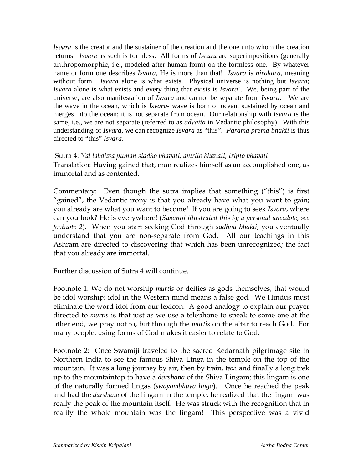*Isvara* is the creator and the sustainer of the creation and the one unto whom the creation returns. *Isvara* as such is formless. All forms of *Isvara* are superimpositions (generally anthropomorphic, i.e., modeled after human form) on the formless one. By whatever name or form one describes *Isvara*, He is more than that! *Isvara* is *nirakara*, meaning without form. *Isvara* alone is what exists. Physical universe is nothing but *Isvara*; *Isvara* alone is what exists and every thing that exists is *Isvara*!. We, being part of the universe, are also manifestation of *Isvara* and cannot be separate from *Isvara*. We are the wave in the ocean, which is *Isvara*- wave is born of ocean, sustained by ocean and merges into the ocean; it is not separate from ocean. Our relationship with *Isvara* is the same, i.e., we are not separate (referred to as *advaita* in Vedantic philosophy). With this understanding of *Isvara*, we can recognize *Isvara* as "this". *Parama prema bhakti* is thus directed to "this" *Isvara*.

 Sutra 4: *Yal labdhva puman siddho bhavati, amrito bhavati, tripto bhavati* Translation: Having gained that, man realizes himself as an accomplished one, as immortal and as contented.

Commentary: Even though the sutra implies that something ("this") is first "gained", the Vedantic irony is that you already have what you want to gain; you already are what you want to become! If you are going to seek *Isvara*, where can you look? He is everywhere! (*Swamiji illustrated this by a personal anecdote; see footnote 2*). When you start seeking God through *sadhna bhakti*, you eventually understand that you are non-separate from God. All our teachings in this Ashram are directed to discovering that which has been unrecognized; the fact that you already are immortal.

Further discussion of Sutra 4 will continue.

Footnote 1: We do not worship *murtis* or deities as gods themselves; that would be idol worship; idol in the Western mind means a false god. We Hindus must eliminate the word idol from our lexicon. A good analogy to explain our prayer directed to *murtis* is that just as we use a telephone to speak to some one at the other end, we pray not to, but through the *murtis* on the altar to reach God. For many people, using forms of God makes it easier to relate to God.

Footnote 2: Once Swamiji traveled to the sacred Kedarnath pilgrimage site in Northern India to see the famous Shiva Linga in the temple on the top of the mountain. It was a long journey by air, then by train, taxi and finally a long trek up to the mountaintop to have a *darshana* of the Shiva Lingam; this lingam is one of the naturally formed lingas (*swayambhuva linga*). Once he reached the peak and had the *darshana* of the lingam in the temple, he realized that the lingam was really the peak of the mountain itself. He was struck with the recognition that in reality the whole mountain was the lingam! This perspective was a vivid